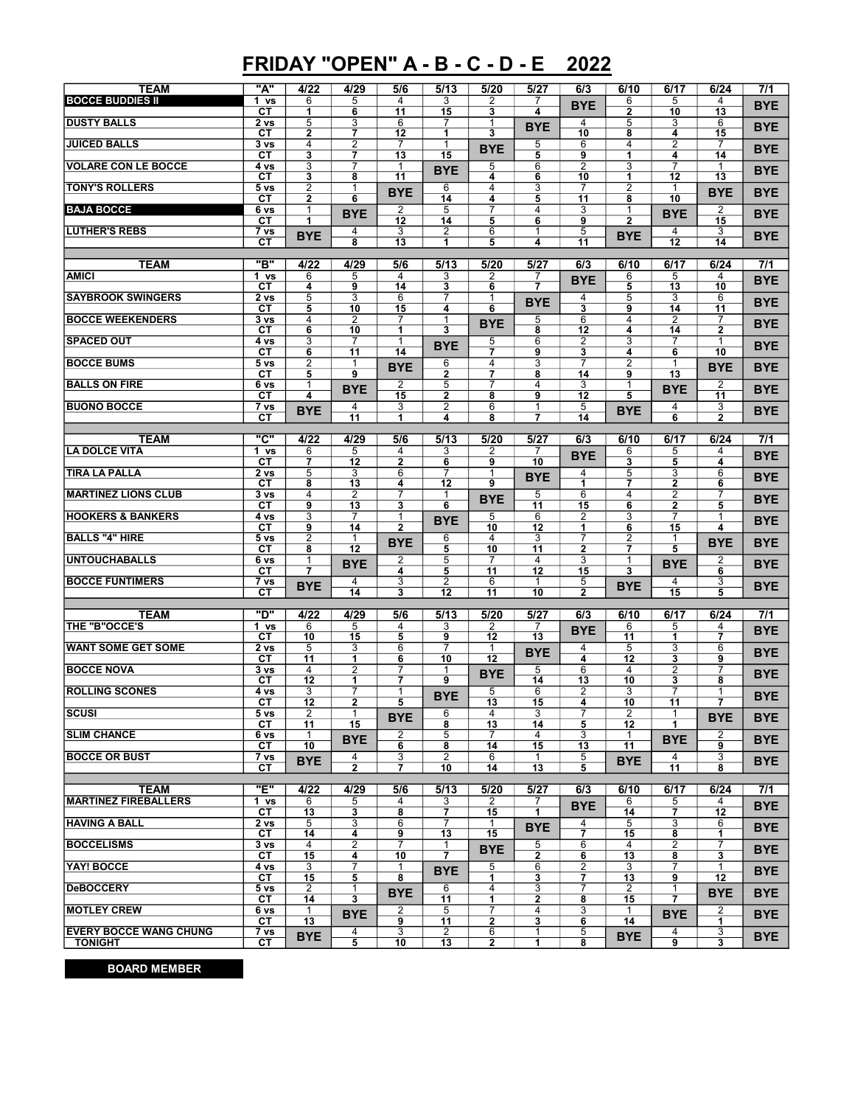## FRIDAY "OPEN" A - B - C - D - E 2022

| <b>TEAM</b>                   | "A"                   | 4/22                    | 4/29                | 5/6                 | 5/13                 | 5/20                             | 5/27                 | 6/3                  | 6/10                    | 6/17                | 6/24                         | 7/1              |
|-------------------------------|-----------------------|-------------------------|---------------------|---------------------|----------------------|----------------------------------|----------------------|----------------------|-------------------------|---------------------|------------------------------|------------------|
| <b>BOCCE BUDDIES II</b>       | 1 vs                  | 6                       | 5                   | 4                   | 3                    | 2                                | 7                    | <b>BYE</b>           | 6                       | 5                   | 4                            |                  |
|                               | СT                    | 1                       | 6                   | 11                  | 15                   | 3                                | 4                    |                      | $\overline{2}$          | 10                  | 13                           | <b>BYE</b>       |
| <b>DUSTY BALLS</b>            | 2 <sub>vs</sub>       | $\overline{5}$          | $\overline{3}$      | 6                   | $\overline{7}$       | $\mathbf{1}$<br>3                | <b>BYE</b>           | 4<br>10              | 5                       | 3                   | 6                            | <b>BYE</b>       |
| <b>JUICED BALLS</b>           | CТ<br>3 vs            | $\mathbf{2}$<br>4       | 7<br>$\overline{2}$ | 12<br>7             | $\mathbf{1}$<br>1    |                                  | 5                    | 6                    | 8<br>4                  | 4<br>$\overline{2}$ | 15<br>7                      |                  |
|                               | CТ                    | $\overline{\mathbf{3}}$ | 7                   | 13                  | 15                   | <b>BYE</b>                       | 5                    | 9                    | 1                       | 4                   | $\overline{14}$              | <b>BYE</b>       |
| <b>VOLARE CON LE BOCCE</b>    | 4 vs                  | 3                       | 7                   | 1                   | <b>BYE</b>           | 5                                | 6                    | $\overline{2}$       | 3                       | 7                   | 1                            | <b>BYE</b>       |
| <b>TONY'S ROLLERS</b>         | СT<br>5 <sub>vs</sub> | 3<br>$\overline{2}$     | 8<br>1              | 11                  | 6                    | 4<br>4                           | 6<br>3               | 10<br>7              | 1<br>$\overline{2}$     | 12<br>1             | 13                           |                  |
|                               | CТ                    | $\overline{2}$          | 6                   | <b>BYE</b>          | 14                   | 4                                | 5                    | 11                   | 8                       | 10                  | <b>BYE</b>                   | <b>BYE</b>       |
| <b>BAJA BOCCE</b>             | 6 vs                  | 1                       | <b>BYE</b>          | 2                   | 5                    | 7                                | 4                    | 3                    | $\mathbf{1}$            | <b>BYE</b>          | 2                            | <b>BYE</b>       |
| <b>LUTHER'S REBS</b>          | СT<br>7 vs            | 1                       | 4                   | 12<br>3             | 14<br>$\overline{2}$ | 5<br>6                           | 6<br>1               | 9<br>$\overline{5}$  | $\overline{2}$          | 4                   | 15<br>3                      |                  |
|                               | СT                    | <b>BYE</b>              | 8                   | 13                  | 1                    | 5                                | 4                    | 11                   | <b>BYE</b>              | 12                  | 14                           | <b>BYE</b>       |
|                               |                       |                         |                     |                     |                      |                                  |                      |                      |                         |                     |                              |                  |
| <b>TEAM</b><br><b>AMICI</b>   | <u>"B"</u><br>1 vs    | 4/22<br>6               | 4/29<br>5           | 5/6<br>4            | 5/13<br>3            | 5/20<br>2                        | 5/27<br>7            | 6/3                  | 6/10<br>6               | 6/17<br>5           | 6/24<br>4                    | 7/1              |
|                               | СT                    | 4                       | 9                   | 14                  | 3                    | 6                                | 7                    | <b>BYE</b>           | 5                       | 13                  | 10                           | <b>BYE</b>       |
| <b>SAYBROOK SWINGERS</b>      | 2 vs                  | $\overline{5}$          | 3                   | 6                   | 7                    | 1                                | <b>BYE</b>           | 4                    | 5                       | 3                   | 6                            | <b>BYE</b>       |
|                               | СT                    | 5<br>4                  | 10                  | 15<br>7             | 4<br>$\mathbf{1}$    | 6                                |                      | 3                    | 9<br>4                  | 14<br>2             | 11                           |                  |
| <b>BOCCE WEEKENDERS</b>       | 3 <sub>vs</sub><br>CТ | 6                       | 2<br>10             | 1                   | 3                    | <b>BYE</b>                       | 5<br>8               | 6<br>12              | 4                       | 14                  | 7<br>$\overline{\mathbf{2}}$ | <b>BYE</b>       |
| <b>SPACED OUT</b>             | 4 vs                  | 3                       | 7                   | 1                   | <b>BYE</b>           | 5                                | 6                    | $\overline{2}$       | 3                       | 7                   | 1                            | <b>BYE</b>       |
|                               | CТ                    | 6                       | 11                  | 14                  |                      | $\overline{\tau}$                | 9                    | 3                    | 4                       | 6                   | $\overline{10}$              |                  |
| <b>BOCCE BUMS</b>             | 5 <sub>vs</sub><br>CТ | 2<br>5                  | 1<br>9              | <b>BYE</b>          | 6<br>$\overline{2}$  | 4<br>$\overline{7}$              | 3<br>8               | 7<br>14              | 2<br>9                  | 13                  | <b>BYE</b>                   | <b>BYE</b>       |
| <b>BALLS ON FIRE</b>          | 6 vs                  | 1                       | <b>BYE</b>          | $\overline{2}$      | $\overline{5}$       | $\overline{7}$                   | 4                    | $\overline{3}$       | 1                       | <b>BYE</b>          | $\overline{2}$               | <b>BYE</b>       |
|                               | CТ                    | 4                       |                     | 15                  | 2                    | 8                                | 9                    | 12                   | 5                       |                     | 11                           |                  |
| <b>BUONO BOCCE</b>            | 7 vs<br>CТ            | <b>BYE</b>              | 4<br>11             | 3<br>1              | $\overline{2}$<br>4  | 6<br>8                           | $\mathbf{1}$<br>7    | 5<br>14              | <b>BYE</b>              | 4<br>$\overline{6}$ | 3<br>$\overline{2}$          | <b>BYE</b>       |
|                               |                       |                         |                     |                     |                      |                                  |                      |                      |                         |                     |                              |                  |
| <b>TEAM</b>                   | "ር"                   | 4/22                    | 4/29                | 5/6                 | 5/13                 | 5/20                             | 5/27                 | 6/3                  | 6/10                    | 6/17                | 6/24                         | 7/1              |
| <b>LA DOLCE VITA</b>          | 1 vs<br>CТ            | 6<br>$\overline{7}$     | 5<br>12             | 4<br>$\overline{2}$ | 3<br>6               | 2<br>9                           | 10                   | <b>BYE</b>           | 6<br>3                  | 5<br>5              | 4<br>4                       | <b>BYE</b>       |
| <b>TIRA LA PALLA</b>          | 2 <sub>vs</sub>       | $\overline{5}$          | 3                   | 6                   | 7                    | $\mathbf 1$                      | <b>BYE</b>           | 4                    | 5                       | 3                   | $6\overline{6}$              | <b>BYE</b>       |
|                               | CТ                    | 8                       | 13                  | 4                   | 12                   | 9                                |                      | $\overline{1}$       | $\overline{\mathbf{z}}$ | $\overline{2}$      | 6                            |                  |
| <b>MARTINEZ LIONS CLUB</b>    | 3 <sub>vs</sub>       | 4                       | 2                   | 7<br>3              | 1<br>6               | <b>BYE</b>                       | 5<br>$\overline{11}$ | 6                    | 4<br>6                  | $\overline{2}$      | 7                            | <b>BYE</b>       |
| <b>HOOKERS &amp; BANKERS</b>  | СT<br>4 vs            | 9<br>$\overline{3}$     | 13<br>7             | 1                   |                      | 5                                | 6                    | 15<br>$\overline{2}$ | 3                       | $\mathbf{2}$<br>7   | 5<br>1                       |                  |
|                               | CТ                    | 9                       | 14                  | $\overline{2}$      | <b>BYE</b>           | 10                               | 12                   | 1                    | 6                       | 15                  | 4                            | <b>BYE</b>       |
| <b>BALLS "4" HIRE</b>         | 5 <sub>vs</sub>       | $\overline{2}$          | 1                   | <b>BYE</b>          | 6                    | 4                                | 3                    | 7                    | 2                       |                     | <b>BYE</b>                   | <b>BYE</b>       |
| <b>UNTOUCHABALLS</b>          | CТ<br>6 vs            | 8<br>1                  | 12                  | 2                   | $\overline{5}$<br>5  | $\overline{10}$<br>7             | 11<br>4              | $\overline{2}$<br>3  | 7<br>1                  | 5                   | 2                            |                  |
|                               | СT                    | $\overline{7}$          | <b>BYE</b>          | 4                   | 5                    | 11                               | 12                   | 15                   | 3                       | <b>BYE</b>          | 6                            | <b>BYE</b>       |
| <b>BOCCE FUNTIMERS</b>        | 7 vs                  | <b>BYE</b>              | 4                   | 3                   | $\overline{2}$       | 6                                | 1                    | 5                    | <b>BYE</b>              | 4                   | 3                            | <b>BYE</b>       |
|                               | CТ                    |                         | 14                  | 3                   | 12                   | 11                               | 10                   | $\overline{2}$       |                         | 15                  | 5                            |                  |
| <b>TEAM</b>                   | "ט"                   | 4/22                    | 4/29                | 5/6                 | 5/13                 | 5/20                             | 5/27                 | 6/3                  | 6/10                    | 6/17                | 6/24                         | $\overline{7/1}$ |
| THE "B"OCCE'S                 | 1 vs                  | 6                       | 5                   | 4                   | 3                    | 2                                | 7                    | <b>BYE</b>           | 6                       | 5                   | 4                            | <b>BYE</b>       |
| <b>WANT SOME GET SOME</b>     | CТ<br>2 vs            | 10<br>5                 | 15<br>3             | 5<br>6              | 9<br>7               | 12<br>1                          | 13                   | 4                    | 11<br>5                 | 1<br>3              | 7<br>6                       |                  |
|                               | CТ                    | 11                      | $\overline{1}$      | 6                   | 10                   | 12                               | <b>BYE</b>           | 4                    | 12                      | 3                   | 9                            | <b>BYE</b>       |
| <b>BOCCE NOVA</b>             | 3 <sub>vs</sub>       | 4                       | $\overline{2}$      | 7                   | 1                    | <b>BYE</b>                       | $\overline{5}$       | $\overline{6}$       | 4                       | $\overline{2}$      | $\overline{7}$               | <b>BYE</b>       |
| <b>ROLLING SCONES</b>         | CТ<br>4 vs            | 12<br>3                 | 1<br>7              | 7<br>1              | 9                    | 5                                | 14<br>6              | 13<br>2              | 10<br>3                 | 3<br>7              | 8<br>1                       |                  |
|                               | CТ                    | $\overline{12}$         | 2                   | 5                   | <b>BYE</b>           | 13                               | 15                   | 4                    | 10                      | $\overline{11}$     | 7                            | <b>BYE</b>       |
| <b>SCUSI</b>                  | 5 <sub>vs</sub>       | 2                       | $\mathbf{1}$        | <b>BYE</b>          | 6                    | 4                                | 3                    | 7                    | 2                       | 1                   | <b>BYE</b>                   | <b>BYE</b>       |
|                               | СT                    | 11<br>1                 | 15                  |                     | 8<br>5               | 13<br>$\overline{7}$             | 14<br>4              | 5<br>3               | 12<br>1                 | 1                   |                              |                  |
| <b>SLIM CHANCE</b>            | 6 vs<br>СT            | 10                      | <b>BYE</b>          | 2<br>6              | 8                    | 14                               | 15                   | 13                   | 11                      | <b>BYE</b>          | 2<br>9                       | <b>BYE</b>       |
| <b>BOCCE OR BUST</b>          | 7 vs                  | <b>BYE</b>              | 4                   | 3                   | 2                    | 6                                |                      | 5                    | <b>BYE</b>              | 4                   | 3                            | <b>BYE</b>       |
|                               | СT                    |                         | $\overline{2}$      | 7                   | 10                   | 14                               | 13                   | 5                    |                         | 11                  | 8                            |                  |
| <b>TEAM</b>                   | "E"                   | 4/22                    | 4/29                | 5/6                 | 5/13                 | 5/20                             | 5/27                 | 6/3                  | 6/10                    | 6/17                | 6/24                         | 7/1              |
| <b>MARTINEZ FIREBALLERS</b>   | 1 vs                  | 6                       | 5                   | 4                   | 3                    | 2                                |                      | <b>BYE</b>           | 6                       | 5                   | 4                            | <b>BYE</b>       |
|                               | СT                    | 13                      | 3                   | 8                   | $\overline{7}$       | 15                               | 1                    |                      | 14                      | $\overline{7}$      | 12                           |                  |
| <b>HAVING A BALL</b>          | 2 vs<br>СT            | 5<br>14                 | 3<br>4              | 6<br>9              | 7<br>13              | 1<br>15                          | <b>BYE</b>           | 4<br>7               | 5<br>15                 | 3<br>8              | 6<br>1                       | <b>BYE</b>       |
| <b>BOCCELISMS</b>             | 3 vs                  | 4                       | 2                   |                     | 1                    | <b>BYE</b>                       | 5                    | 6                    | 4                       | 2                   | 7                            | <b>BYE</b>       |
|                               | СT                    | 15                      | 4                   | 10                  | $\overline{7}$       |                                  | $\overline{2}$       | 6                    | 13                      | 8                   | 3                            |                  |
| YAY! BOCCE                    | 4 vs<br>СT            | 3<br>15                 | 7<br>5              | 1<br>8              | <b>BYE</b>           | 5<br>1                           | 6<br>3               | $\overline{2}$<br>7  | 3<br>13                 | 7<br>9              | 1<br>12                      | <b>BYE</b>       |
| <b>DeBOCCERY</b>              | 5 <sub>vs</sub>       | 2                       | 1                   | <b>BYE</b>          | 6                    | 4                                | 3                    | 7                    | 2                       | 1                   | <b>BYE</b>                   | BYE.             |
|                               | СT                    | 14                      | 3                   |                     | 11                   | 1                                | 2                    | 8                    | 15                      | $\overline{7}$      |                              |                  |
| <b>MOTLEY CREW</b>            | 6 vs<br>CТ            | 1<br>13                 | <b>BYE</b>          | 2<br>9              | 5<br>11              | $\overline{7}$<br>$\overline{2}$ | 4<br>3               | 3<br>6               | 1<br>14                 | <b>BYE</b>          | 2<br>1                       | <b>BYE</b>       |
| <b>EVERY BOCCE WANG CHUNG</b> | 7 vs                  |                         | 4                   | 3                   | 2                    | 6                                | 1                    | 5                    |                         | 4                   | 3                            |                  |
| <b>TONIGHT</b>                | CТ                    | <b>BYE</b>              | $\overline{5}$      | 10                  | 13                   | $\mathbf{2}$                     | 1                    | 8                    | <b>BYE</b>              | 9                   | 3                            | BYE              |

BOARD MEMBER